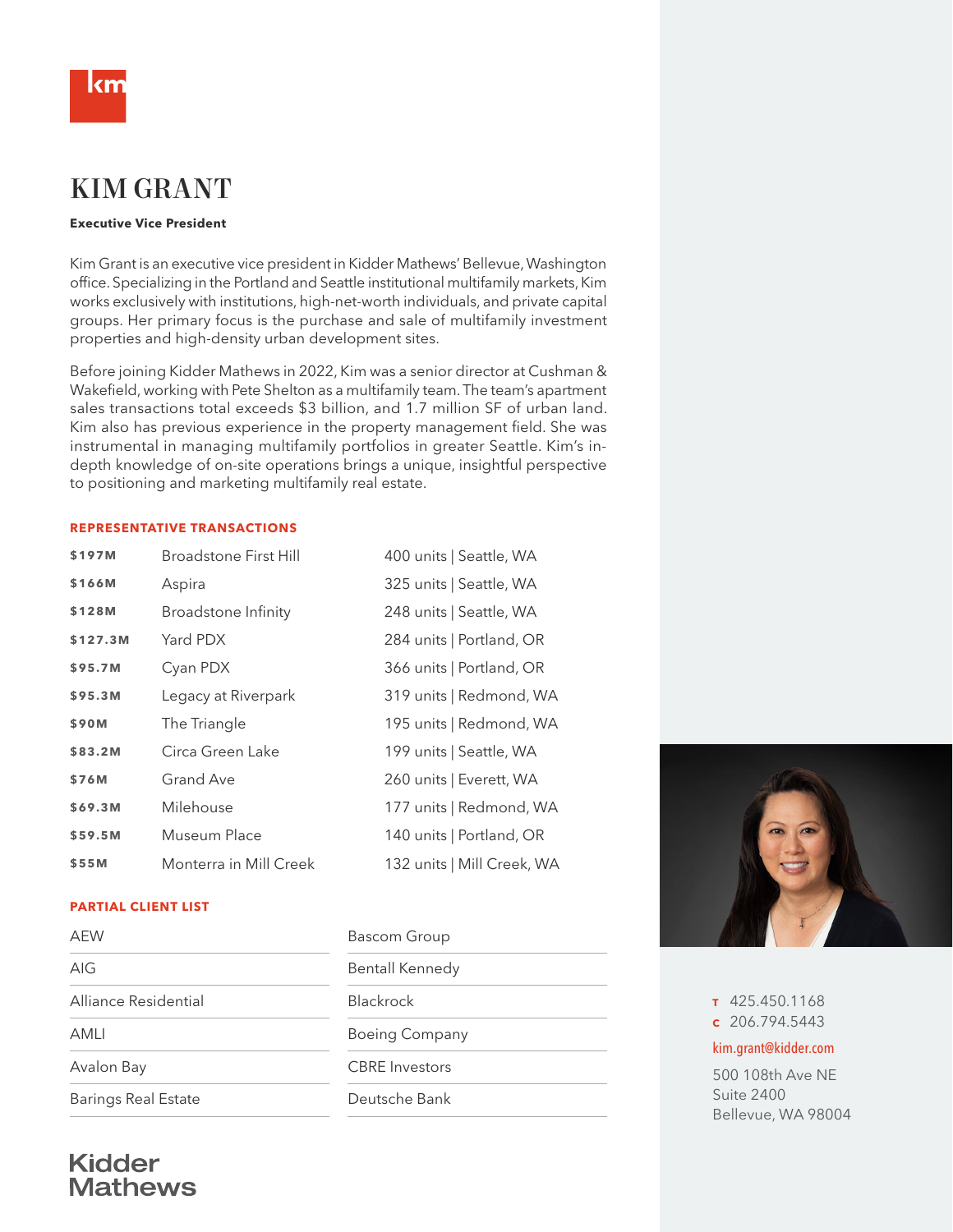

# KIM GRANT

#### **Executive Vice President**

Kim Grant is an executive vice president in Kidder Mathews' Bellevue, Washington office. Specializing in the Portland and Seattle institutional multifamily markets, Kim works exclusively with institutions, high-net-worth individuals, and private capital groups. Her primary focus is the purchase and sale of multifamily investment properties and high-density urban development sites.

Before joining Kidder Mathews in 2022, Kim was a senior director at Cushman & Wakefield, working with Pete Shelton as a multifamily team. The team's apartment sales transactions total exceeds \$3 billion, and 1.7 million SF of urban land. Kim also has previous experience in the property management field. She was instrumental in managing multifamily portfolios in greater Seattle. Kim's indepth knowledge of on-site operations brings a unique, insightful perspective to positioning and marketing multifamily real estate.

#### **REPRESENTATIVE TRANSACTIONS**

| \$197M   | Broadstone First Hill      | 400 units   Seattle, WA    |
|----------|----------------------------|----------------------------|
| \$166M   | Aspira                     | 325 units   Seattle, WA    |
| \$128M   | <b>Broadstone Infinity</b> | 248 units   Seattle, WA    |
| \$127.3M | Yard PDX                   | 284 units   Portland, OR   |
| \$95.7M  | Cyan PDX                   | 366 units   Portland, OR   |
| \$95.3M  | Legacy at Riverpark        | 319 units   Redmond, WA    |
| \$90M    | The Triangle               | 195 units   Redmond, WA    |
| \$83.2M  | Circa Green Lake           | 199 units   Seattle, WA    |
| \$76M    | Grand Ave                  | 260 units   Everett, WA    |
| \$69.3M  | Milehouse                  | 177 units   Redmond, WA    |
| \$59.5M  | Museum Place               | 140 units   Portland, OR   |
| \$55M    | Monterra in Mill Creek     | 132 units   Mill Creek, WA |

#### **PARTIAL CLIENT LIST**

| <b>AEW</b>                 | <b>Bascom Group</b>    |  |
|----------------------------|------------------------|--|
| AIG                        | <b>Bentall Kennedy</b> |  |
| Alliance Residential       | <b>Blackrock</b>       |  |
| AMLI                       | <b>Boeing Company</b>  |  |
| Avalon Bay                 | <b>CBRE</b> Investors  |  |
| <b>Barings Real Estate</b> | Deutsche Bank          |  |
|                            |                        |  |



**<sup>T</sup>** 425.450.1168 **<sup>C</sup>** 206.794.5443

#### kim.grant@kidder.com

500 108th Ave NE Suite 2400 Bellevue, WA 98004

## **Kidder Mathews**